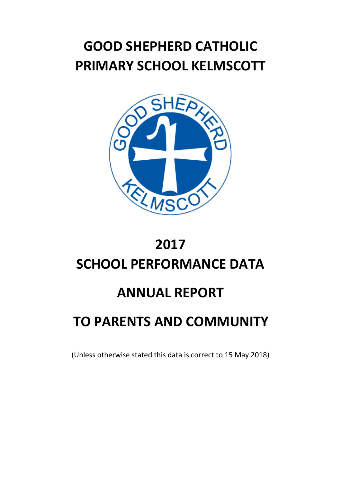# **GOOD SHEPHERD CATHOLIC PRIMARY SCHOOL KELMSCOTT**



## **2017 SCHOOL PERFORMANCE DATA**

#### **ANNUAL REPORT**

### **TO PARENTS AND COMMUNITY**

(Unless otherwise stated this data is correct to 15 May 2018)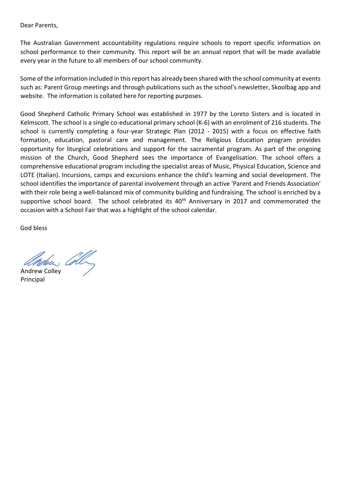Dear Parents,

The Australian Government accountability regulations require schools to report specific information on school performance to their community. This report will be an annual report that will be made available every year in the future to all members of our school community.

Some of the information included in this report has already been shared with the school community at events such as: Parent Group meetings and through publications such as the school's newsletter, Skoolbag app and website. The information is collated here for reporting purposes.

Good Shepherd Catholic Primary School was established in 1977 by the Loreto Sisters and is located in Kelmscott. The school is a single co-educational primary school (K-6) with an enrolment of 216 students. The school is currently completing a four-year Strategic Plan (2012 - 2015) with a focus on effective faith formation, education, pastoral care and management. The Religious Education program provides opportunity for liturgical celebrations and support for the sacramental program. As part of the ongoing mission of the Church, Good Shepherd sees the importance of Evangelisation. The school offers a comprehensive educational program including the specialist areas of Music, Physical Education, Science and LOTE (Italian). Incursions, camps and excursions enhance the child's learning and social development. The school identifies the importance of parental involvement through an active 'Parent and Friends Association' with their role being a well-balanced mix of community building and fundraising. The school is enriched by a supportive school board. The school celebrated its 40<sup>th</sup> Anniversary in 2017 and commemorated the occasion with a School Fair that was a highlight of the school calendar.

God bless

Andrew Colley Principal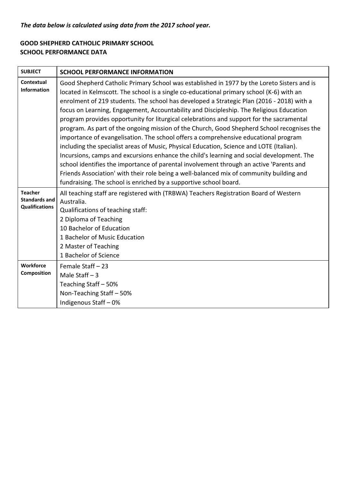#### *The data below is calculated using data from the 2017 school year.*

#### **GOOD SHEPHERD CATHOLIC PRIMARY SCHOOL SCHOOL PERFORMANCE DATA**

| <b>SUBJECT</b>                                                  | <b>SCHOOL PERFORMANCE INFORMATION</b>                                                                                                                                                                                                                                                                                                                                                                                                                                                                                                                                                                                                                                                                                                                                                                                                                                                                                                                                                                                                                                                                                |
|-----------------------------------------------------------------|----------------------------------------------------------------------------------------------------------------------------------------------------------------------------------------------------------------------------------------------------------------------------------------------------------------------------------------------------------------------------------------------------------------------------------------------------------------------------------------------------------------------------------------------------------------------------------------------------------------------------------------------------------------------------------------------------------------------------------------------------------------------------------------------------------------------------------------------------------------------------------------------------------------------------------------------------------------------------------------------------------------------------------------------------------------------------------------------------------------------|
| Contextual<br><b>Information</b>                                | Good Shepherd Catholic Primary School was established in 1977 by the Loreto Sisters and is<br>located in Kelmscott. The school is a single co-educational primary school (K-6) with an<br>enrolment of 219 students. The school has developed a Strategic Plan (2016 - 2018) with a<br>focus on Learning, Engagement, Accountability and Discipleship. The Religious Education<br>program provides opportunity for liturgical celebrations and support for the sacramental<br>program. As part of the ongoing mission of the Church, Good Shepherd School recognises the<br>importance of evangelisation. The school offers a comprehensive educational program<br>including the specialist areas of Music, Physical Education, Science and LOTE (Italian).<br>Incursions, camps and excursions enhance the child's learning and social development. The<br>school identifies the importance of parental involvement through an active 'Parents and<br>Friends Association' with their role being a well-balanced mix of community building and<br>fundraising. The school is enriched by a supportive school board. |
| <b>Teacher</b><br><b>Standards and</b><br><b>Qualifications</b> | All teaching staff are registered with (TRBWA) Teachers Registration Board of Western<br>Australia.<br>Qualifications of teaching staff:<br>2 Diploma of Teaching<br>10 Bachelor of Education<br>1 Bachelor of Music Education<br>2 Master of Teaching<br>1 Bachelor of Science                                                                                                                                                                                                                                                                                                                                                                                                                                                                                                                                                                                                                                                                                                                                                                                                                                      |
| Workforce<br><b>Composition</b>                                 | Female Staff - 23<br>Male Staff $-3$<br>Teaching Staff - 50%<br>Non-Teaching Staff - 50%<br>Indigenous Staff - 0%                                                                                                                                                                                                                                                                                                                                                                                                                                                                                                                                                                                                                                                                                                                                                                                                                                                                                                                                                                                                    |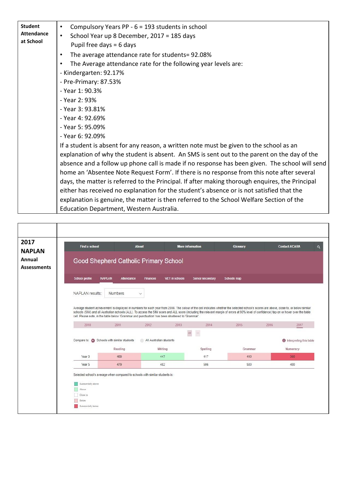| <b>Student</b>    | Compulsory Years PP - 6 = 193 students in school<br>$\bullet$                                   |
|-------------------|-------------------------------------------------------------------------------------------------|
| <b>Attendance</b> | School Year up 8 December, 2017 = 185 days<br>$\bullet$                                         |
| at School         | Pupil free days $= 6$ days                                                                      |
|                   | The average attendance rate for students= 92.08%<br>$\bullet$                                   |
|                   | The Average attendance rate for the following year levels are:<br>$\bullet$                     |
|                   | - Kindergarten: 92.17%                                                                          |
|                   | - Pre-Primary: 87.53%                                                                           |
|                   | - Year 1: 90.3%                                                                                 |
|                   | - Year 2: 93%                                                                                   |
|                   | - Year 3: 93.81%                                                                                |
|                   | - Year 4: 92.69%                                                                                |
|                   | - Year 5: 95.09%                                                                                |
|                   | - Year 6: 92.09%                                                                                |
|                   | If a student is absent for any reason, a written note must be given to the school as an         |
|                   | explanation of why the student is absent. An SMS is sent out to the parent on the day of the    |
|                   | absence and a follow up phone call is made if no response has been given. The school will send  |
|                   | home an 'Absentee Note Request Form'. If there is no response from this note after several      |
|                   | days, the matter is referred to the Principal. If after making thorough enquires, the Principal |
|                   | either has received no explanation for the student's absence or is not satisfied that the       |
|                   | explanation is genuine, the matter is then referred to the School Welfare Section of the        |
|                   | Education Department, Western Australia.                                                        |

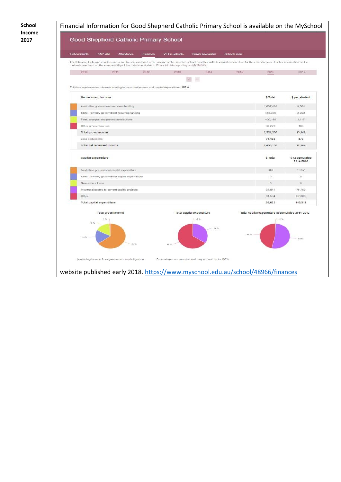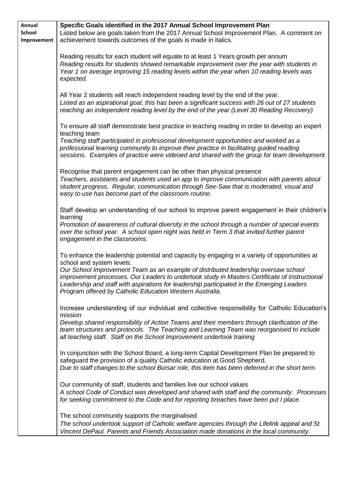| Annual                | Specific Goals identified in the 2017 Annual School Improvement Plan                                                                                                                  |
|-----------------------|---------------------------------------------------------------------------------------------------------------------------------------------------------------------------------------|
| School<br>Improvement | Listed below are goals taken from the 2017 Annual School Improvement Plan. A comment on<br>achievement towards outcomes of the goals is made in italics.                              |
|                       |                                                                                                                                                                                       |
|                       | Reading results for each student will equate to at least 1 Years growth per annum                                                                                                     |
|                       | Reading results for students showed remarkable improvement over the year with students in<br>Year 1 on average improving 15 reading levels within the year when 10 reading levels was |
|                       | expected.                                                                                                                                                                             |
|                       | All Year 2 students will reach independent reading level by the end of the year.                                                                                                      |
|                       | Listed as an aspirational goal, this has been a significant success with 26 out of 27 students                                                                                        |
|                       | reaching an independent reading level by the end of the year (Level 30 Reading Recovery)                                                                                              |
|                       | To ensure all staff demonstrate best practice in teaching reading in order to develop an expert                                                                                       |
|                       | teaching team                                                                                                                                                                         |
|                       | Teaching staff participated in professional development opportunities and worked as a<br>professional learning community to improve their practice in facilitating guided reading     |
|                       | sessions. Examples of practice were videoed and shared with the group for team development.                                                                                           |
|                       | Recognise that parent engagement can be other than physical presence                                                                                                                  |
|                       | Teachers, assistants and students used an app to improve communication with parents about                                                                                             |
|                       | student progress. Regular, communication through See-Saw that is moderated, visual and<br>easy to use has become part of the classroom routine.                                       |
|                       |                                                                                                                                                                                       |
|                       | Staff develop an understanding of our school to improve parent engagement in their children's                                                                                         |
|                       | learning<br>Promotion of awareness of cultural diversity in the school through a number of special events                                                                             |
|                       | over the school year. A school open night was held in Term 3 that invited further parent                                                                                              |
|                       | engagement in the classrooms.                                                                                                                                                         |
|                       | To enhance the leadership potential and capacity by engaging in a variety of opportunities at                                                                                         |
|                       | school and system levels.<br>Our School Improvement Team as an example of distributed leadership oversaw school                                                                       |
|                       | improvement processes. Our Leaders to undertook study in Masters Certificate of Instructional                                                                                         |
|                       | Leadership and staff with aspirations for leadership participated in the Emerging Leaders<br>Program offered by Catholic Education Western Australia.                                 |
|                       |                                                                                                                                                                                       |
|                       | Increase understanding of our individual and collective responsibility for Catholic Education's<br>mission                                                                            |
|                       | Develop shared responsibility of Action Teams and their members through clarification of the                                                                                          |
|                       | team structures and protocols. The Teaching and Learning Team was reorganised to include                                                                                              |
|                       | all teaching staff. Staff on the School Improvement undertook training                                                                                                                |
|                       | In conjunction with the School Board, a long-term Capital Development Plan be prepared to                                                                                             |
|                       | safeguard the provision of a quality Catholic education at Good Shepherd.<br>Due to staff changes to the school Bursar role, this item has been deferred in the short term.           |
|                       |                                                                                                                                                                                       |
|                       | Our community of staff, students and families live our school values                                                                                                                  |
|                       | A school Code of Conduct was developed and shared with staff and the community. Processes<br>for seeking commitment to the Code and for reporting breaches have been put I place.     |
|                       |                                                                                                                                                                                       |
|                       | The school community supports the marginalised<br>The school undertook support of Catholic welfare agencies through the Lifelink appeal and St                                        |
|                       | Vincent DePaul. Parents and Friends Association made donations in the local community.                                                                                                |